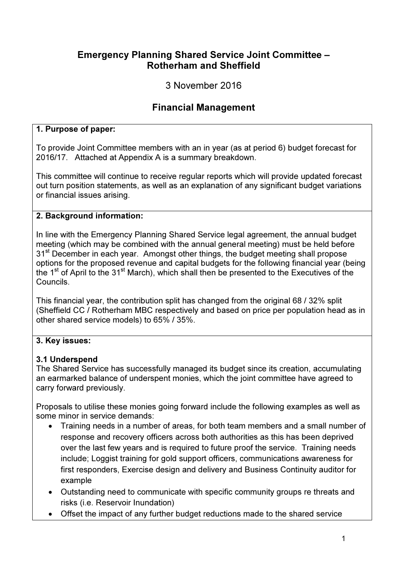## Emergency Planning Shared Service Joint Committee – Rotherham and Sheffield

3 November 2016

# Financial Management

### 1. Purpose of paper:

To provide Joint Committee members with an in year (as at period 6) budget forecast for 2016/17. Attached at Appendix A is a summary breakdown.

This committee will continue to receive regular reports which will provide updated forecast out turn position statements, as well as an explanation of any significant budget variations or financial issues arising.

#### 2. Background information:

In line with the Emergency Planning Shared Service legal agreement, the annual budget meeting (which may be combined with the annual general meeting) must be held before 31<sup>st</sup> December in each year. Amongst other things, the budget meeting shall propose options for the proposed revenue and capital budgets for the following financial year (being the 1<sup>st</sup> of April to the 31<sup>st</sup> March), which shall then be presented to the Executives of the Councils.

This financial year, the contribution split has changed from the original 68 / 32% split (Sheffield CC / Rotherham MBC respectively and based on price per population head as in other shared service models) to 65% / 35%.

### 3. Key issues:

### 3.1 Underspend

The Shared Service has successfully managed its budget since its creation, accumulating an earmarked balance of underspent monies, which the joint committee have agreed to carry forward previously.

Proposals to utilise these monies going forward include the following examples as well as some minor in service demands:

- Training needs in a number of areas, for both team members and a small number of response and recovery officers across both authorities as this has been deprived over the last few years and is required to future proof the service. Training needs include; Loggist training for gold support officers, communications awareness for first responders, Exercise design and delivery and Business Continuity auditor for example
- Outstanding need to communicate with specific community groups re threats and risks (i.e. Reservoir Inundation)
- Offset the impact of any further budget reductions made to the shared service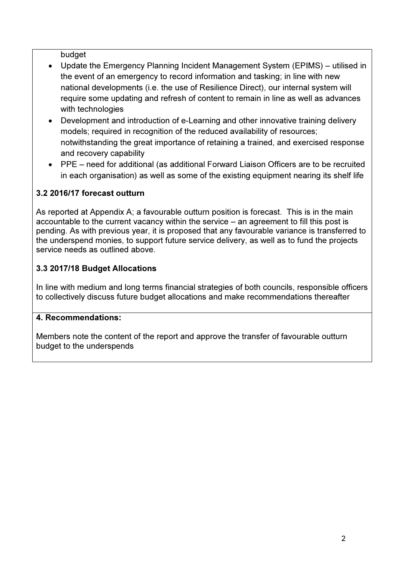budget

- Update the Emergency Planning Incident Management System (EPIMS) utilised in the event of an emergency to record information and tasking; in line with new national developments (i.e. the use of Resilience Direct), our internal system will require some updating and refresh of content to remain in line as well as advances with technologies
- Development and introduction of e-Learning and other innovative training delivery models; required in recognition of the reduced availability of resources; notwithstanding the great importance of retaining a trained, and exercised response and recovery capability
- PPE need for additional (as additional Forward Liaison Officers are to be recruited in each organisation) as well as some of the existing equipment nearing its shelf life

### 3.2 2016/17 forecast outturn

As reported at Appendix A; a favourable outturn position is forecast. This is in the main accountable to the current vacancy within the service – an agreement to fill this post is pending. As with previous year, it is proposed that any favourable variance is transferred to the underspend monies, to support future service delivery, as well as to fund the projects service needs as outlined above.

### 3.3 2017/18 Budget Allocations

In line with medium and long terms financial strategies of both councils, responsible officers to collectively discuss future budget allocations and make recommendations thereafter

### 4. Recommendations:

Members note the content of the report and approve the transfer of favourable outturn budget to the underspends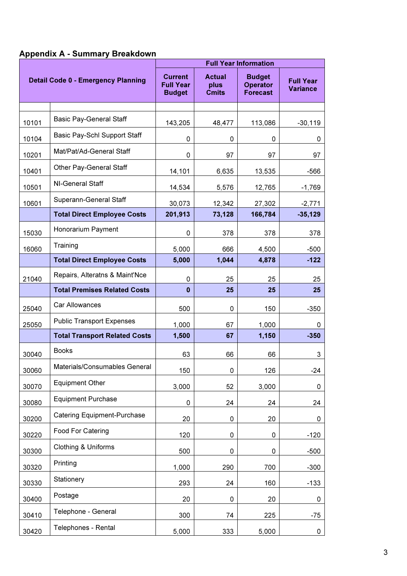# Appendix A - Summary Breakdown

| <b>Detail Code 0 - Emergency Planning</b> |                                      | <b>Full Year Information</b>                        |                                       |                                                     |                                     |  |  |  |
|-------------------------------------------|--------------------------------------|-----------------------------------------------------|---------------------------------------|-----------------------------------------------------|-------------------------------------|--|--|--|
|                                           |                                      | <b>Current</b><br><b>Full Year</b><br><b>Budget</b> | <b>Actual</b><br>plus<br><b>Cmits</b> | <b>Budget</b><br><b>Operator</b><br><b>Forecast</b> | <b>Full Year</b><br><b>Variance</b> |  |  |  |
|                                           |                                      |                                                     |                                       |                                                     |                                     |  |  |  |
| 10101                                     | <b>Basic Pay-General Staff</b>       | 143,205                                             | 48,477                                | 113,086                                             | $-30,119$                           |  |  |  |
| 10104                                     | Basic Pay-Schl Support Staff         | 0                                                   | 0                                     | 0                                                   | 0                                   |  |  |  |
| 10201                                     | Mat/Pat/Ad-General Staff             | 0                                                   | 97                                    | 97                                                  | 97                                  |  |  |  |
| 10401                                     | Other Pay-General Staff              | 14,101                                              | 6,635                                 | 13,535                                              | -566                                |  |  |  |
| 10501                                     | <b>NI-General Staff</b>              | 14,534                                              | 5,576                                 | 12,765                                              | $-1,769$                            |  |  |  |
| 10601                                     | Superann-General Staff               | 30,073                                              | 12,342                                | 27,302                                              | $-2,771$                            |  |  |  |
|                                           | <b>Total Direct Employee Costs</b>   | 201,913                                             | 73,128                                | 166,784                                             | $-35,129$                           |  |  |  |
| 15030                                     | Honorarium Payment                   | 0                                                   | 378                                   | 378                                                 | 378                                 |  |  |  |
| 16060                                     | Training                             | 5,000                                               | 666                                   | 4,500                                               | $-500$                              |  |  |  |
|                                           | <b>Total Direct Employee Costs</b>   | 5,000                                               | 1,044                                 | 4,878                                               | $-122$                              |  |  |  |
| 21040                                     | Repairs, Alteratns & Maint'Nce       | 0                                                   | 25                                    | 25                                                  | 25                                  |  |  |  |
|                                           | <b>Total Premises Related Costs</b>  | $\bf{0}$                                            | 25                                    | 25                                                  | 25                                  |  |  |  |
| 25040                                     | Car Allowances                       | 500                                                 | 0                                     | 150                                                 | $-350$                              |  |  |  |
| 25050                                     | <b>Public Transport Expenses</b>     | 1,000                                               | 67                                    | 1,000                                               | 0                                   |  |  |  |
|                                           | <b>Total Transport Related Costs</b> | 1,500                                               | 67                                    | 1,150                                               | $-350$                              |  |  |  |
| 30040                                     | <b>Books</b>                         | 63                                                  | 66                                    | 66                                                  | 3                                   |  |  |  |
| 30060                                     | Materials/Consumables General        | 150                                                 | 0                                     | 126                                                 | $-24$                               |  |  |  |
| 30070                                     | <b>Equipment Other</b>               | 3,000                                               | 52                                    | 3,000                                               | 0                                   |  |  |  |
| 30080                                     | <b>Equipment Purchase</b>            | 0                                                   | 24                                    | 24                                                  | 24                                  |  |  |  |
| 30200                                     | <b>Catering Equipment-Purchase</b>   | 20                                                  | 0                                     | 20                                                  | 0                                   |  |  |  |
| 30220                                     | Food For Catering                    | 120                                                 | 0                                     | 0                                                   | $-120$                              |  |  |  |
| 30300                                     | <b>Clothing &amp; Uniforms</b>       | 500                                                 | 0                                     | 0                                                   | $-500$                              |  |  |  |
| 30320                                     | Printing                             | 1,000                                               | 290                                   | 700                                                 | $-300$                              |  |  |  |
| 30330                                     | Stationery                           | 293                                                 | 24                                    | 160                                                 | $-133$                              |  |  |  |
| 30400                                     | Postage                              | 20                                                  | 0                                     | 20                                                  | 0                                   |  |  |  |
| 30410                                     | Telephone - General                  | 300                                                 | 74                                    | 225                                                 | $-75$                               |  |  |  |
| 30420                                     | Telephones - Rental                  | 5,000                                               | 333                                   | 5,000                                               | 0                                   |  |  |  |